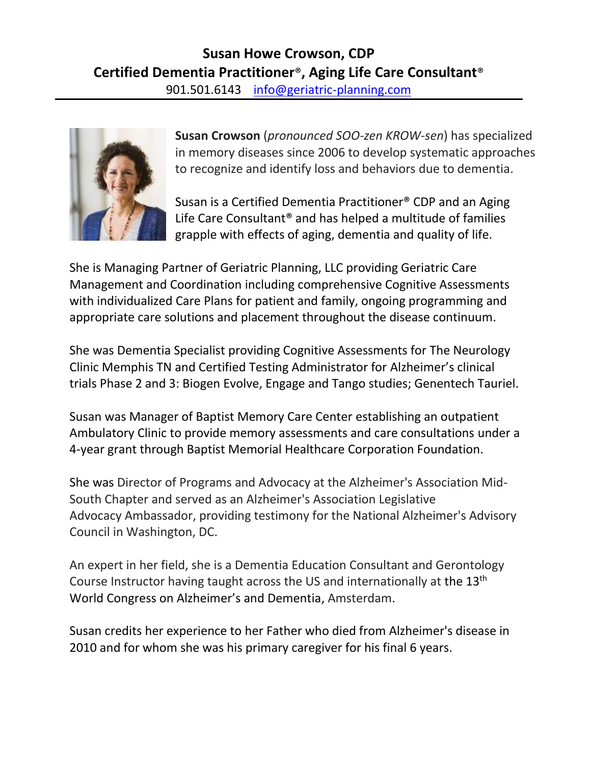

**Susan Crowson** (*pronounced SOO-zen KROW-sen*) has specialized in memory diseases since 2006 to develop systematic approaches to recognize and identify loss and behaviors due to dementia.

Susan is a Certified Dementia Practitioner® CDP and an Aging Life Care Consultant® and has helped a multitude of families grapple with effects of aging, dementia and quality of life.

She is Managing Partner of Geriatric Planning, LLC providing Geriatric Care Management and Coordination including comprehensive Cognitive Assessments with individualized Care Plans for patient and family, ongoing programming and appropriate care solutions and placement throughout the disease continuum.

She was Dementia Specialist providing Cognitive Assessments for The Neurology Clinic Memphis TN and Certified Testing Administrator for Alzheimer's clinical trials Phase 2 and 3: Biogen Evolve, Engage and Tango studies; Genentech Tauriel.

Susan was Manager of Baptist Memory Care Center establishing an outpatient Ambulatory Clinic to provide memory assessments and care consultations under a 4-year grant through Baptist Memorial Healthcare Corporation Foundation.

She was Director of Programs and Advocacy at the Alzheimer's Association Mid-South Chapter and served as an Alzheimer's Association Legislative Advocacy Ambassador, providing testimony for the National Alzheimer's Advisory Council in Washington, DC.

An expert in her field, she is a Dementia Education Consultant and Gerontology Course Instructor having taught across the US and internationally at the 13<sup>th</sup> World Congress on Alzheimer's and Dementia, Amsterdam.

Susan credits her experience to her Father who died from Alzheimer's disease in 2010 and for whom she was his primary caregiver for his final 6 years.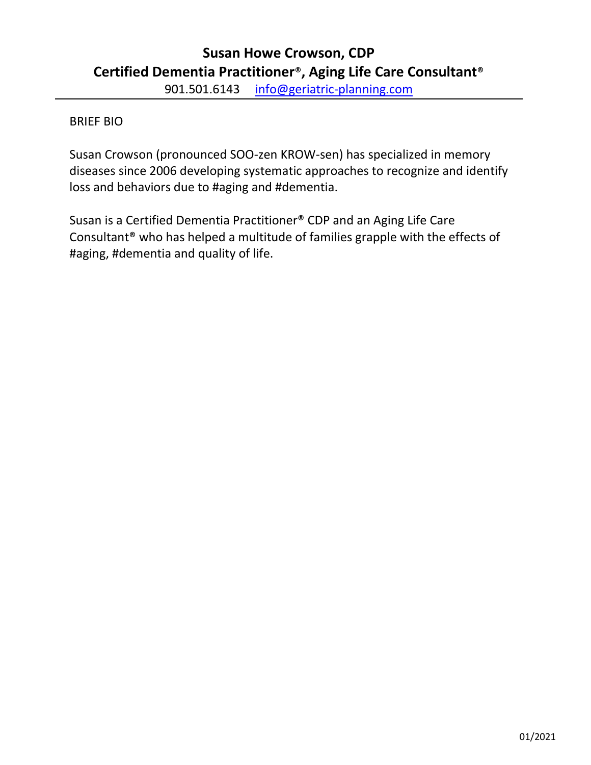# **Susan Howe Crowson, CDP Certified Dementia Practitioner**®**, Aging Life Care Consultant**® 901.501.6143 info@geriatric-planning.com

## BRIEF BIO

Susan Crowson (pronounced SOO-zen KROW-sen) has specialized in memory diseases since 2006 developing systematic approaches to recognize and identify loss and behaviors due to #aging and #dementia.

Susan is a Certified Dementia Practitioner® CDP and an Aging Life Care Consultant® who has helped a multitude of families grapple with the effects of #aging, #dementia and quality of life.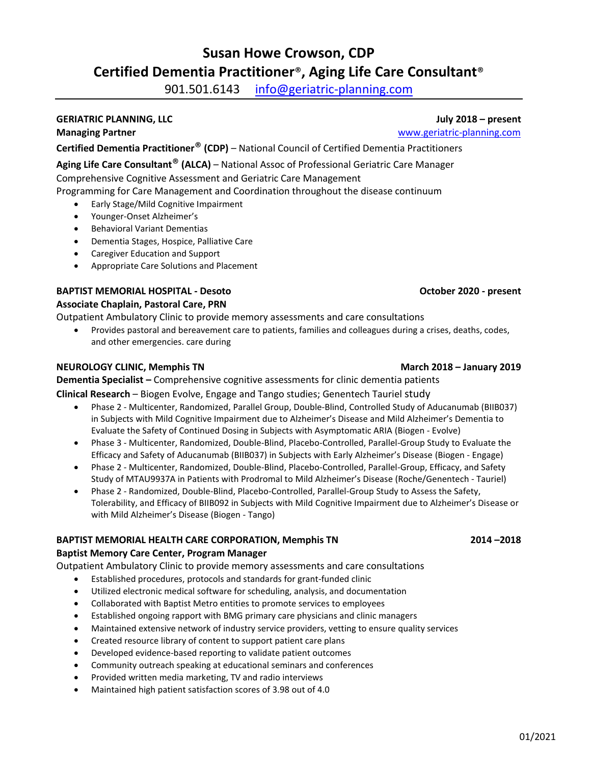# **Susan Howe Crowson, CDP Certified Dementia Practitioner**®**, Aging Life Care Consultant**®

901.501.6143 info@geriatric-planning.com

### **GERIATRIC PLANNING, LLC July 2018 – present**

**Managing Partner** [www.geriatric-planning.com](http://www.geriatric-planning.com/)

**Certified Dementia Practitioner**® **(CDP)** – National Council of Certified Dementia Practitioners

**Aging Life Care Consultant**® **(ALCA)** – National Assoc of Professional Geriatric Care Manager

Comprehensive Cognitive Assessment and Geriatric Care Management

Programming for Care Management and Coordination throughout the disease continuum

- Early Stage/Mild Cognitive Impairment
- Younger-Onset Alzheimer's
- Behavioral Variant Dementias
- Dementia Stages, Hospice, Palliative Care
- Caregiver Education and Support
- Appropriate Care Solutions and Placement

## **BAPTIST MEMORIAL HOSPITAL - Desoto October 2020 - present**

**Associate Chaplain, Pastoral Care, PRN**

Outpatient Ambulatory Clinic to provide memory assessments and care consultations

• Provides pastoral and bereavement care to patients, families and colleagues during a crises, deaths, codes, and other emergencies. care during

### **NEUROLOGY CLINIC, Memphis TN March 2018 – January 2019**

**Dementia Specialist –** Comprehensive cognitive assessments for clinic dementia patients

## **Clinical Research** – Biogen Evolve, Engage and Tango studies; Genentech Tauriel study

- Phase 2 Multicenter, Randomized, Parallel Group, Double-Blind, Controlled Study of Aducanumab (BIIB037) in Subjects with Mild Cognitive Impairment due to Alzheimer's Disease and Mild Alzheimer's Dementia to Evaluate the Safety of Continued Dosing in Subjects with Asymptomatic ARIA (Biogen - Evolve)
- Phase 3 Multicenter, Randomized, Double-Blind, Placebo-Controlled, Parallel-Group Study to Evaluate the Efficacy and Safety of Aducanumab (BIIB037) in Subjects with Early Alzheimer's Disease (Biogen - Engage)
- Phase 2 Multicenter, Randomized, Double-Blind, Placebo-Controlled, Parallel-Group, Efficacy, and Safety Study of MTAU9937A in Patients with Prodromal to Mild Alzheimer's Disease (Roche/Genentech - Tauriel)
- Phase 2 Randomized, Double-Blind, Placebo-Controlled, Parallel-Group Study to Assess the Safety, Tolerability, and Efficacy of BIIB092 in Subjects with Mild Cognitive Impairment due to Alzheimer's Disease or with Mild Alzheimer's Disease (Biogen - Tango)

### **BAPTIST MEMORIAL HEALTH CARE CORPORATION, Memphis TN 2014 –2018**

### **Baptist Memory Care Center, Program Manager**

Outpatient Ambulatory Clinic to provide memory assessments and care consultations

- Established procedures, protocols and standards for grant-funded clinic
- Utilized electronic medical software for scheduling, analysis, and documentation
- Collaborated with Baptist Metro entities to promote services to employees
- Established ongoing rapport with BMG primary care physicians and clinic managers
- Maintained extensive network of industry service providers, vetting to ensure quality services
- Created resource library of content to support patient care plans
- Developed evidence-based reporting to validate patient outcomes
- Community outreach speaking at educational seminars and conferences
- Provided written media marketing, TV and radio interviews
- Maintained high patient satisfaction scores of 3.98 out of 4.0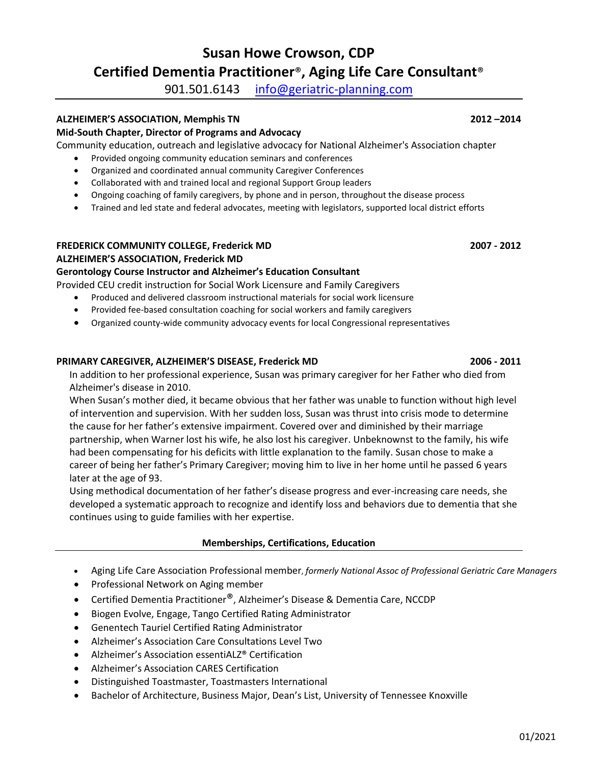# **Susan Howe Crowson, CDP Certified Dementia Practitioner**®**, Aging Life Care Consultant**®

901.501.6143 info@geriatric-planning.com

### **ALZHEIMER'S ASSOCIATION, Memphis TN 2012 –2014**

### **Mid-South Chapter, Director of Programs and Advocacy**

Community education, outreach and legislative advocacy for National Alzheimer's Association chapter

- Provided ongoing community education seminars and conferences
- Organized and coordinated annual community Caregiver Conferences
- Collaborated with and trained local and regional Support Group leaders
- Ongoing coaching of family caregivers, by phone and in person, throughout the disease process
- Trained and led state and federal advocates, meeting with legislators, supported local district efforts

### **FREDERICK COMMUNITY COLLEGE, Frederick MD 2007 - 2012 ALZHEIMER'S ASSOCIATION, Frederick MD**

### **Gerontology Course Instructor and Alzheimer's Education Consultant**

Provided CEU credit instruction for Social Work Licensure and Family Caregivers

- Produced and delivered classroom instructional materials for social work licensure
- Provided fee-based consultation coaching for social workers and family caregivers
- Organized county-wide community advocacy events for local Congressional representatives

### **PRIMARY CAREGIVER, ALZHEIMER'S DISEASE, Frederick MD 2006 - 2011**

In addition to her professional experience, Susan was primary caregiver for her Father who died from Alzheimer's disease in 2010.

When Susan's mother died, it became obvious that her father was unable to function without high level of intervention and supervision. With her sudden loss, Susan was thrust into crisis mode to determine the cause for her father's extensive impairment. Covered over and diminished by their marriage partnership, when Warner lost his wife, he also lost his caregiver. Unbeknownst to the family, his wife had been compensating for his deficits with little explanation to the family. Susan chose to make a career of being her father's Primary Caregiver; moving him to live in her home until he passed 6 years later at the age of 93.

Using methodical documentation of her father's disease progress and ever-increasing care needs, she developed a systematic approach to recognize and identify loss and behaviors due to dementia that she continues using to guide families with her expertise.

### **Memberships, Certifications, Education**

- Aging Life Care Association Professional member, *formerly National Assoc of Professional Geriatric Care Managers*
- Professional Network on Aging member
- Certified Dementia Practitioner®, Alzheimer's Disease & Dementia Care, NCCDP
- Biogen Evolve, Engage, Tango Certified Rating Administrator
- Genentech Tauriel Certified Rating Administrator
- Alzheimer's Association Care Consultations Level Two
- Alzheimer's Association essentiALZ® Certification
- Alzheimer's Association CARES Certification
- Distinguished Toastmaster, Toastmasters International
- Bachelor of Architecture, Business Major, Dean's List, University of Tennessee Knoxville